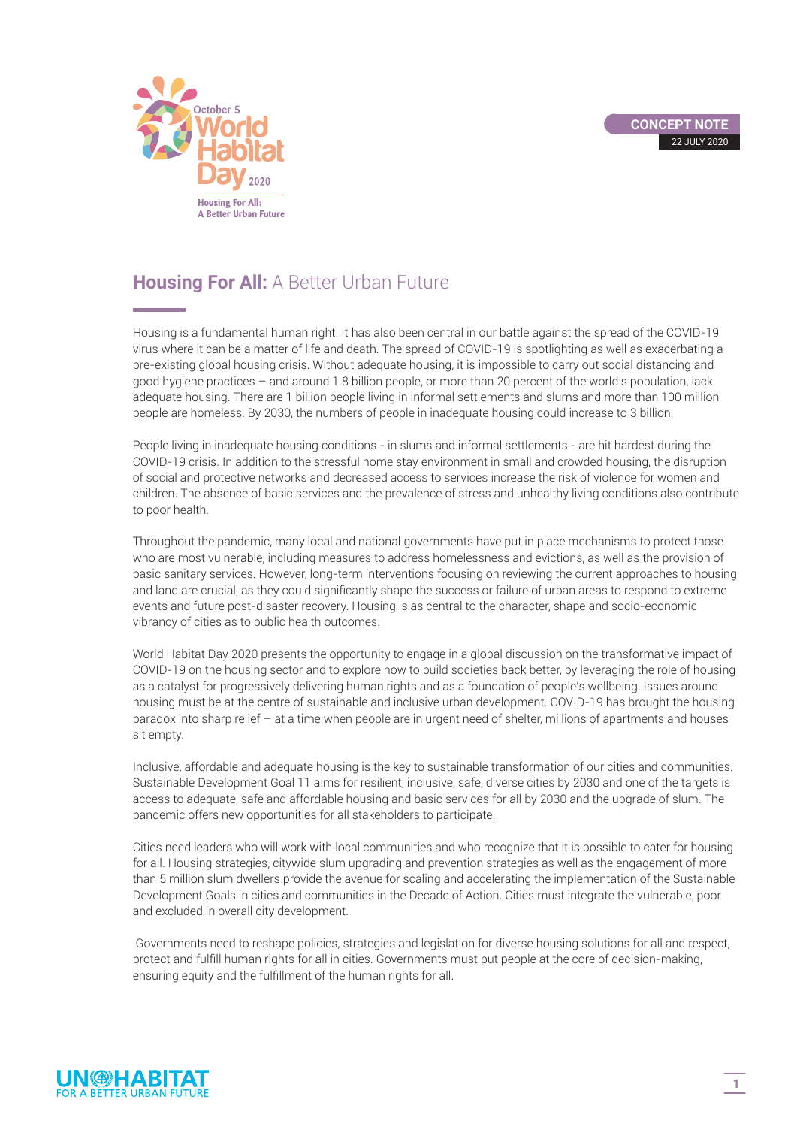

## **Housing For All:** A Better Urban Future

Housing is a fundamental human right. It has also been central in our battle against the spread of the COVID-19 virus where it can be a matter of life and death. The spread of COVID-19 is spotlighting as well as exacerbating a pre-existing global housing crisis. Without adequate housing, it is impossible to carry out social distancing and good hygiene practices – and around 1.8 billion people, or more than 20 percent of the world's population, lack adequate housing. There are 1 billion people living in informal settlements and slums and more than 100 million people are homeless. By 2030, the numbers of people in inadequate housing could increase to 3 billion.

People living in inadequate housing conditions - in slums and informal settlements - are hit hardest during the COVID-19 crisis. In addition to the stressful home stay environment in small and crowded housing, the disruption of social and protective networks and decreased access to services increase the risk of violence for women and children. The absence of basic services and the prevalence of stress and unhealthy living conditions also contribute to poor health.

Throughout the pandemic, many local and national governments have put in place mechanisms to protect those who are most vulnerable, including measures to address homelessness and evictions, as well as the provision of basic sanitary services. However, long-term interventions focusing on reviewing the current approaches to housing and land are crucial, as they could significantly shape the success or failure of urban areas to respond to extreme events and future post-disaster recovery. Housing is as central to the character, shape and socio-economic vibrancy of cities as to public health outcomes.

World Habitat Day 2020 presents the opportunity to engage in a global discussion on the transformative impact of COVID-19 on the housing sector and to explore how to build societies back better, by leveraging the role of housing as a catalyst for progressively delivering human rights and as a foundation of people's wellbeing. Issues around housing must be at the centre of sustainable and inclusive urban development. COVID-19 has brought the housing paradox into sharp relief – at a time when people are in urgent need of shelter, millions of apartments and houses sit empty.

Inclusive, affordable and adequate housing is the key to sustainable transformation of our cities and communities. Sustainable Development Goal 11 aims for resilient, inclusive, safe, diverse cities by 2030 and one of the targets is access to adequate, safe and affordable housing and basic services for all by 2030 and the upgrade of slum. The pandemic offers new opportunities for all stakeholders to participate.

Cities need leaders who will work with local communities and who recognize that it is possible to cater for housing for all. Housing strategies, citywide slum upgrading and prevention strategies as well as the engagement of more than 5 million slum dwellers provide the avenue for scaling and accelerating the implementation of the Sustainable Development Goals in cities and communities in the Decade of Action. Cities must integrate the vulnerable, poor and excluded in overall city development.

 Governments need to reshape policies, strategies and legislation for diverse housing solutions for all and respect, protect and fulfill human rights for all in cities. Governments must put people at the core of decision-making, ensuring equity and the fulfillment of the human rights for all.